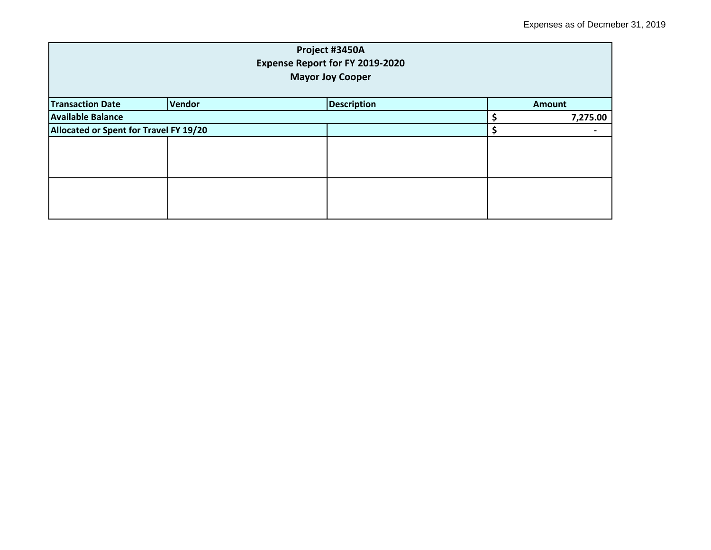| Project #3450A<br><b>Expense Report for FY 2019-2020</b><br><b>Mayor Joy Cooper</b> |        |                    |  |               |  |
|-------------------------------------------------------------------------------------|--------|--------------------|--|---------------|--|
| <b>Transaction Date</b>                                                             | Vendor | <b>Description</b> |  | <b>Amount</b> |  |
| <b>Available Balance</b>                                                            |        |                    |  | 7,275.00      |  |
| Allocated or Spent for Travel FY 19/20                                              |        |                    |  |               |  |
|                                                                                     |        |                    |  |               |  |
|                                                                                     |        |                    |  |               |  |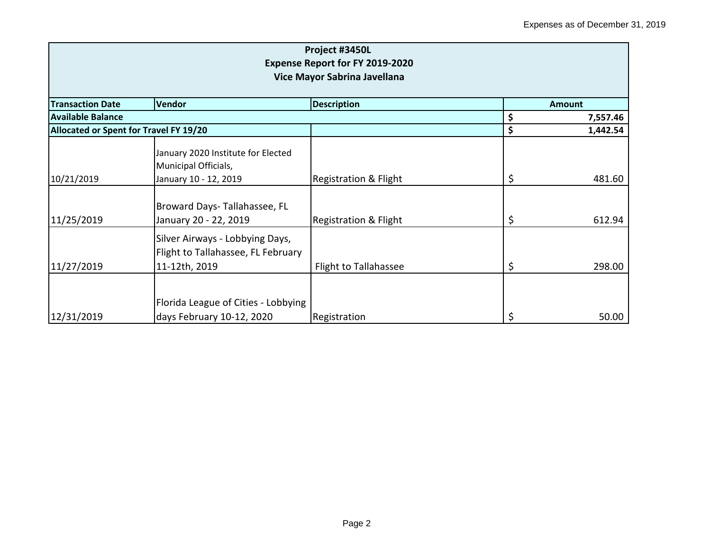| Project #3450L<br><b>Expense Report for FY 2019-2020</b><br>Vice Mayor Sabrina Javellana |                                                                                        |                                  |    |               |
|------------------------------------------------------------------------------------------|----------------------------------------------------------------------------------------|----------------------------------|----|---------------|
| <b>Transaction Date</b>                                                                  | <b>Vendor</b>                                                                          | <b>Description</b>               |    | <b>Amount</b> |
| Available Balance                                                                        |                                                                                        |                                  | \$ | 7,557.46      |
| Allocated or Spent for Travel FY 19/20                                                   |                                                                                        |                                  | \$ | 1,442.54      |
| 10/21/2019                                                                               | January 2020 Institute for Elected<br>Municipal Officials,<br>January 10 - 12, 2019    | <b>Registration &amp; Flight</b> | \$ | 481.60        |
| 11/25/2019                                                                               | Broward Days-Tallahassee, FL<br>January 20 - 22, 2019                                  | <b>Registration &amp; Flight</b> | \$ | 612.94        |
| 11/27/2019                                                                               | Silver Airways - Lobbying Days,<br>Flight to Tallahassee, FL February<br>11-12th, 2019 | Flight to Tallahassee            | \$ | 298.00        |
| 12/31/2019                                                                               | Florida League of Cities - Lobbying<br>days February 10-12, 2020                       | Registration                     | \$ | 50.00         |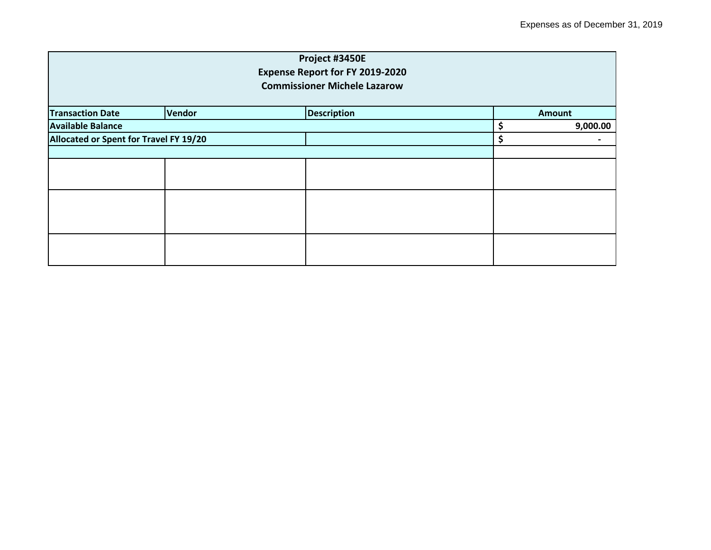|                                        |               | Project #3450E                         |    |               |  |
|----------------------------------------|---------------|----------------------------------------|----|---------------|--|
|                                        |               | <b>Expense Report for FY 2019-2020</b> |    |               |  |
|                                        |               | <b>Commissioner Michele Lazarow</b>    |    |               |  |
|                                        |               |                                        |    |               |  |
| <b>Transaction Date</b>                | <b>Vendor</b> | <b>Description</b>                     |    | <b>Amount</b> |  |
| <b>Available Balance</b>               |               |                                        | \$ | 9,000.00      |  |
| Allocated or Spent for Travel FY 19/20 |               |                                        | \$ |               |  |
|                                        |               |                                        |    |               |  |
|                                        |               |                                        |    |               |  |
|                                        |               |                                        |    |               |  |
|                                        |               |                                        |    |               |  |
|                                        |               |                                        |    |               |  |
|                                        |               |                                        |    |               |  |
|                                        |               |                                        |    |               |  |
|                                        |               |                                        |    |               |  |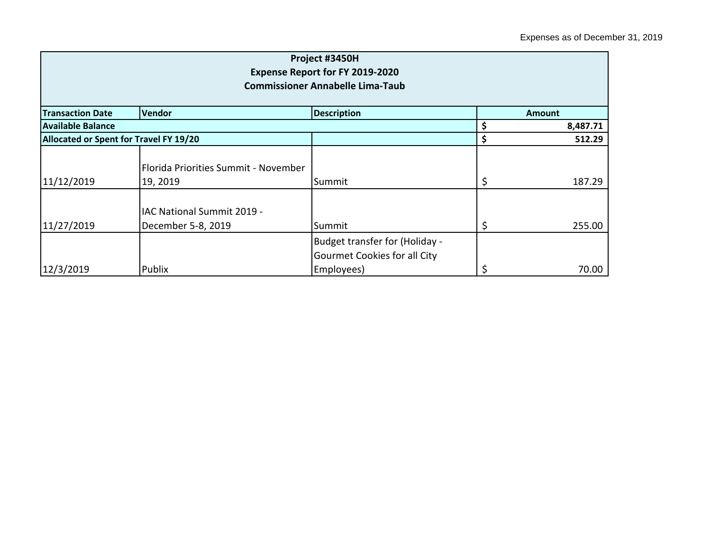| Project #3450H<br><b>Expense Report for FY 2019-2020</b><br><b>Commissioner Annabelle Lima-Taub</b> |                                                  |                                                                              |    |          |  |
|-----------------------------------------------------------------------------------------------------|--------------------------------------------------|------------------------------------------------------------------------------|----|----------|--|
| <b>Transaction Date</b><br><b>Description</b><br><b>Vendor</b><br><b>Amount</b>                     |                                                  |                                                                              |    |          |  |
| Available Balance                                                                                   |                                                  |                                                                              | \$ | 8,487.71 |  |
| Allocated or Spent for Travel FY 19/20                                                              |                                                  |                                                                              | \$ | 512.29   |  |
| 11/12/2019                                                                                          | Florida Priorities Summit - November<br>19, 2019 | Summit                                                                       | \$ | 187.29   |  |
| 11/27/2019                                                                                          | IAC National Summit 2019 -<br>December 5-8, 2019 | Summit                                                                       | \$ | 255.00   |  |
| 12/3/2019                                                                                           | Publix                                           | Budget transfer for (Holiday -<br>Gourmet Cookies for all City<br>Employees) | \$ | 70.00    |  |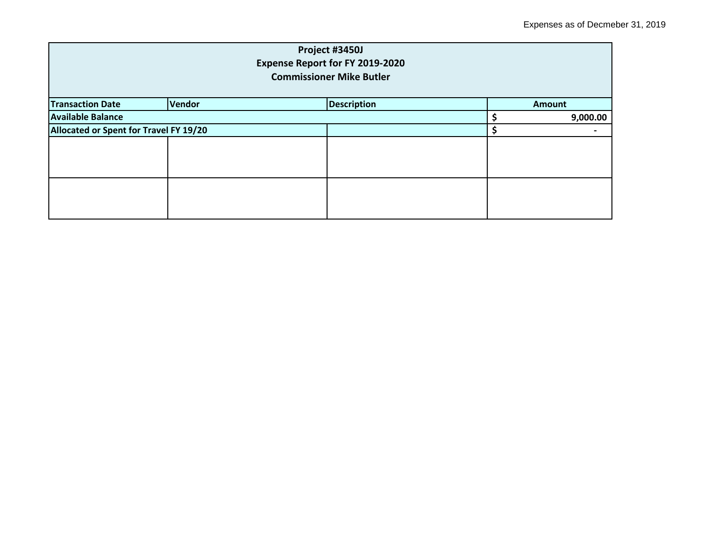| Project #3450J<br><b>Expense Report for FY 2019-2020</b><br><b>Commissioner Mike Butler</b> |        |                    |  |               |  |
|---------------------------------------------------------------------------------------------|--------|--------------------|--|---------------|--|
| <b>Transaction Date</b>                                                                     | Vendor | <b>Description</b> |  | <b>Amount</b> |  |
| <b>Available Balance</b>                                                                    |        |                    |  | 9,000.00      |  |
| Allocated or Spent for Travel FY 19/20                                                      |        |                    |  |               |  |
|                                                                                             |        |                    |  |               |  |
|                                                                                             |        |                    |  |               |  |